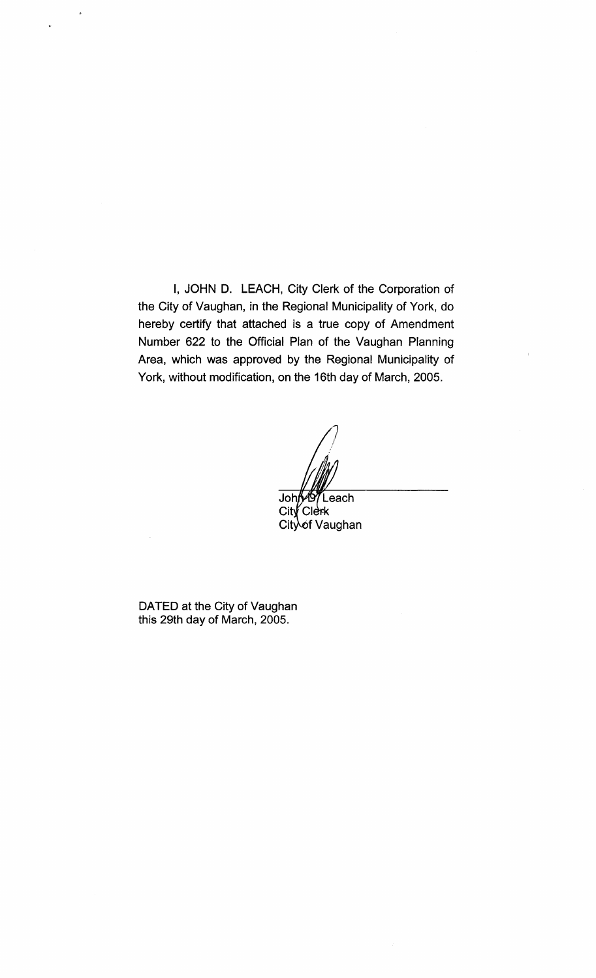I, JOHN D. LEACH, City Clerk of the Corporation of the City of Vaughan, in the Regional Municipality of York, do hereby certify that attached is a true copy of Amendment Number 622 to the Official Plan of the Vaughan Planning Area, which was approved by the Regional Municipality of York, without modification, on the 16th day of March, 2005.

John<sup>67</sup>Leach  $City$ Clerk City of Vaughan

DATED at the City of Vaughan this 29th day of March, 2005.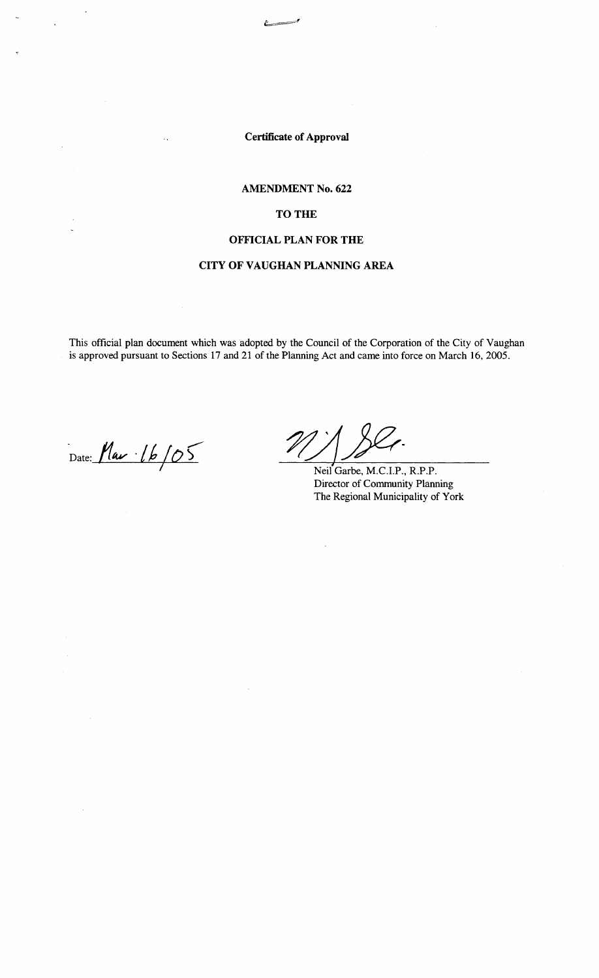**Certificate of Approval** 

# **AMENDMENT No. 622**

# TO THE

## **OFFICIAL PLAN FOR THE**

# **CITY OF VAUGHAN PLANNING AREA**

This official plan document which was adopted by the Council of the Corporation of the City of Vaughan is approved pursuant to Sections 17 and 21 of the Planning Act and came into force on March 16, 2005.

Date: **/14¥** *·/k* **10 r;-** 7 Neil Garbe, M.C.I.P., R.P.P.

Director of Community Planning The Regional Municipality of York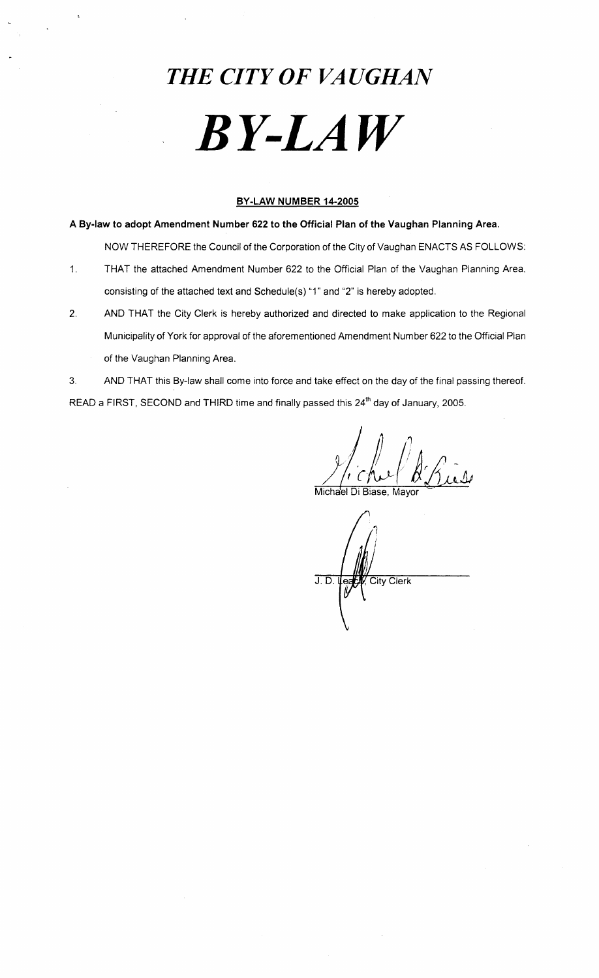# *THE CITY OF VAUGHAN BY-LAW*

# **BY-LAW NUMBER 14-2005**

**A By-law to adopt Amendment Number 622 to the Official Plan of the Vaughan Planning Area.** 

NOW THEREFORE the Council of the Corporation of the City of Vaughan ENACTS AS FOLLOWS:

- 1. THAT the attached Amendment Number 622 to the Official Plan of the Vaughan Planning Area, consisting of the attached text and Schedule(s) "1" and "2" is hereby adopted.
- 2. AND THAT the City Clerk is hereby authorized and directed to make application to the Regional Municipality of York for approval of the aforementioned Amendment Number 622 to the Official Plan
	- of the Vaughan Planning Area.

3. AND THAT this By-law shall come into force and take effect on the day of the final passing thereof. READ a FIRST, SECOND and THIRD time and finally passed this 24<sup>th</sup> day of January, 2005.

§! *)<cl\v/li* 

Michael Di Biase, Mayor

**Leapy**  $J.D.$ City Clerk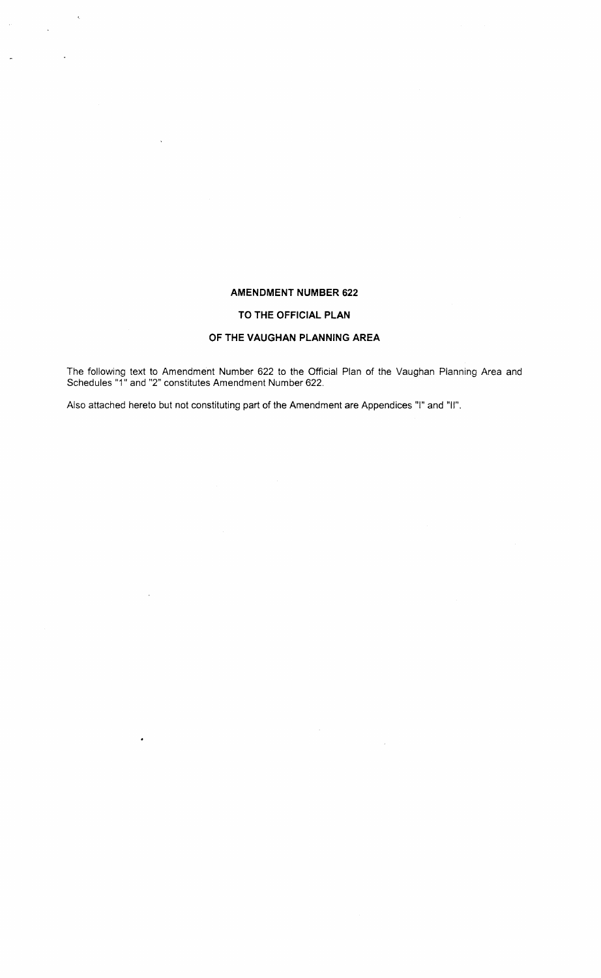## **AMENDMENT NUMBER 622**

## **TO THE OFFICIAL PLAN**

# **OF THE VAUGHAN PLANNING AREA**

The following text to Amendment Number 622 to the Official Plan of the Vaughan Planning Area and Schedules "1" and "2" constitutes Amendment Number 622.

 $\hat{\mathcal{A}}$ 

Also attached hereto but not constituting part of the Amendment are Appendices "I" and "II".

 $\label{eq:2.1} \frac{1}{2} \sum_{i=1}^n \frac{1}{2} \sum_{j=1}^n \frac{1}{2} \sum_{j=1}^n \frac{1}{2} \sum_{j=1}^n \frac{1}{2} \sum_{j=1}^n \frac{1}{2} \sum_{j=1}^n \frac{1}{2} \sum_{j=1}^n \frac{1}{2} \sum_{j=1}^n \frac{1}{2} \sum_{j=1}^n \frac{1}{2} \sum_{j=1}^n \frac{1}{2} \sum_{j=1}^n \frac{1}{2} \sum_{j=1}^n \frac{1}{2} \sum_{j=1}^n \frac{$ 

 $\sim$ 

 $\ddot{\phantom{a}}$ 

 $\ddot{\phantom{a}}$ 

 $\ddot{\phantom{0}}$ 

 $\ddot{\phantom{0}}$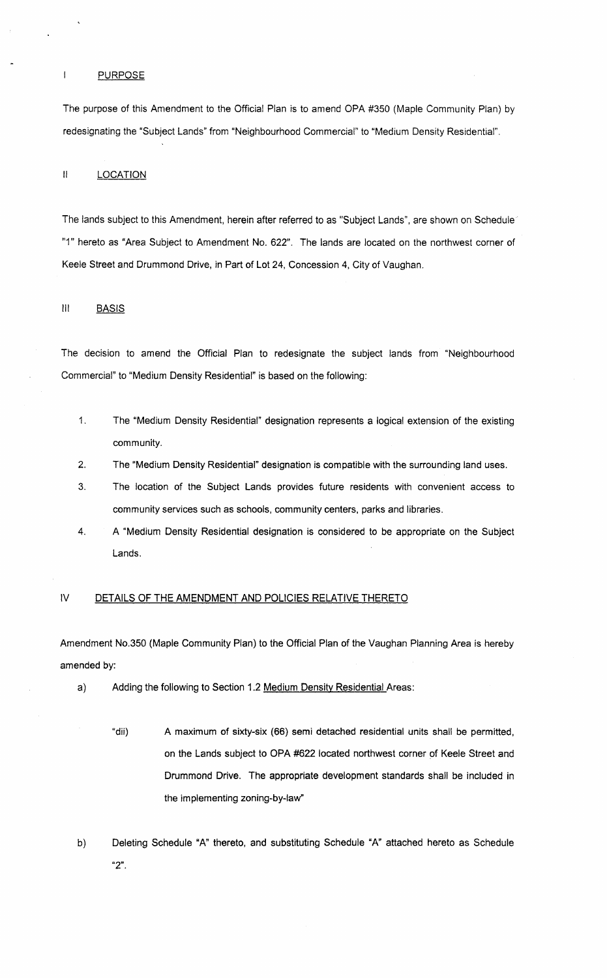#### $\mathbf{I}$ **PURPOSE**

The purpose of this Amendment to the Official Plan is to amend OPA #350 (Maple Community Plan) by redesignating the "Subject Lands" from "Neighbourhood Commercial" to "Medium Density Residential".

## II LOCATION

The lands subject to this Amendment, herein after referred to as "Subject Lands", are shown on Schedule· "1" hereto as "Area Subject to Amendment No. 622". The lands are located on the northwest corner of Keele Street and Drummond Drive, in Part of Lot 24, Concession 4, City of Vaughan.

## III BASIS

The decision to amend the Official Plan to redesignate the subject lands from "Neighbourhood Commercial" to "Medium Density Residential" is based on the following:

- 1. The "Medium Density Residential" designation represents a logical extension of the existing community.
- 2. The "Medium Density Residential" designation is compatible with the surrounding land uses.
- 3. The location of the Subject Lands provides future residents with convenient access to community services such as schools, community centers, parks and libraries.
- 4. A "Medium Density Residential designation is considered to be appropriate on the Subject Lands.

## IV DETAILS OF THE AMENDMENT AND POLICIES RELATIVE THERETO

Amendment NO.350 (Maple Community Plan) to the Official Plan of the Vaughan Planning Area is hereby amended by:

- a) Adding the following to Section 1.2 Medium Density Residential Areas:
	- "dii) A maximum of sixty-six (66) semi detached residential units shall be permitted, on the Lands subject to OPA #622 located northwest corner of Keele Street and Drummond Drive. The appropriate development standards shall be included in the implementing zoning-by-Iaw"
- b) Deleting Schedule "A" thereto, and substituting Schedule "A" attached hereto as Schedule **"2".**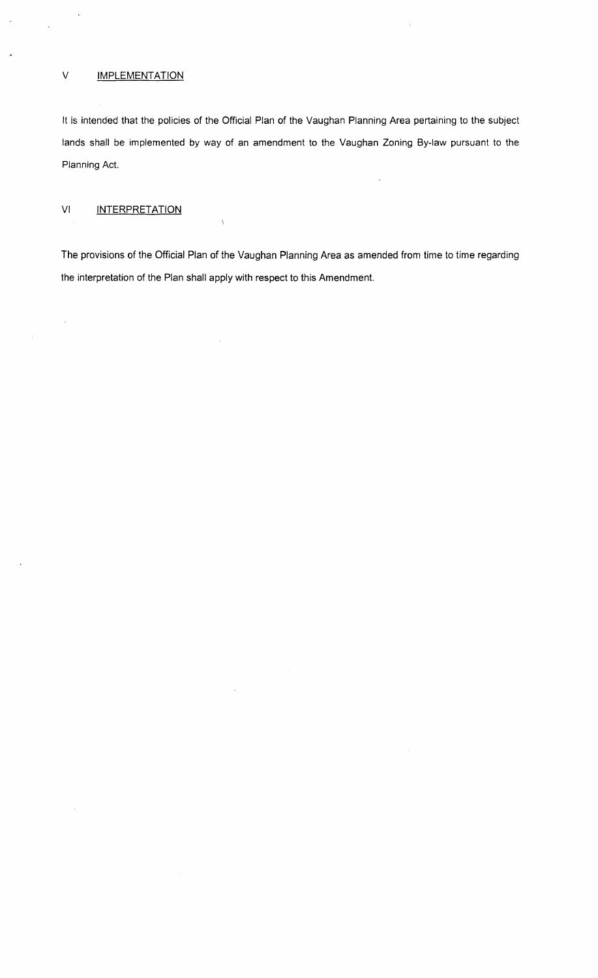## V **IMPLEMENTATION**

 $\ddot{\phantom{1}}$ 

It is intended that the policies of the Official Plan of the Vaughan Planning Area pertaining to the subject lands shall be implemented by way of an amendment to the Vaughan Zoning By-law pursuant to the Planning Act.

# VI INTERPRETATION

 $\hat{\boldsymbol{\beta}}$ 

 $\bar{z}$ 

The provisions of the Official Plan of the Vaughan Planning Area as amended from time to time regarding the interpretation of the Plan shall apply with respect to this Amendment.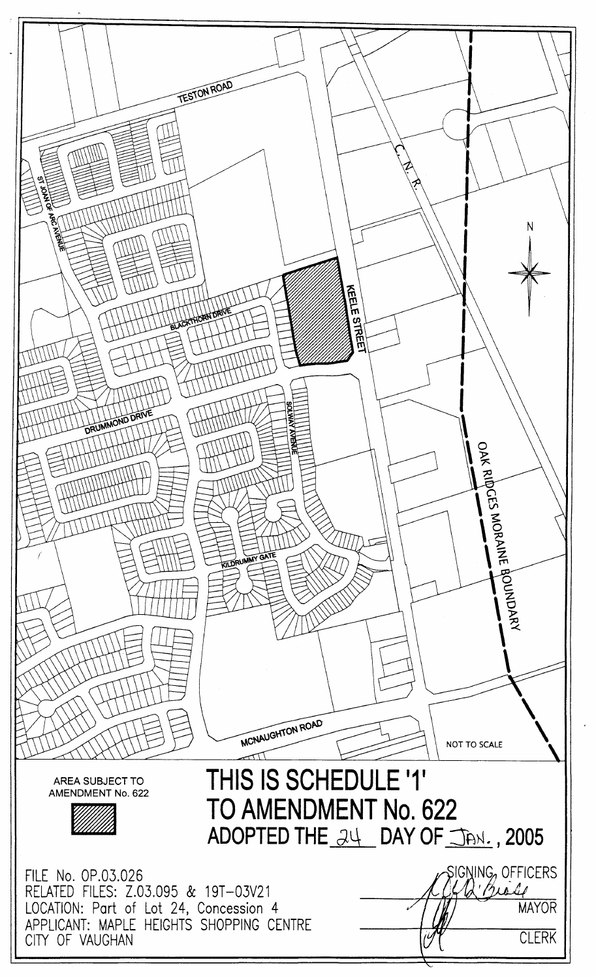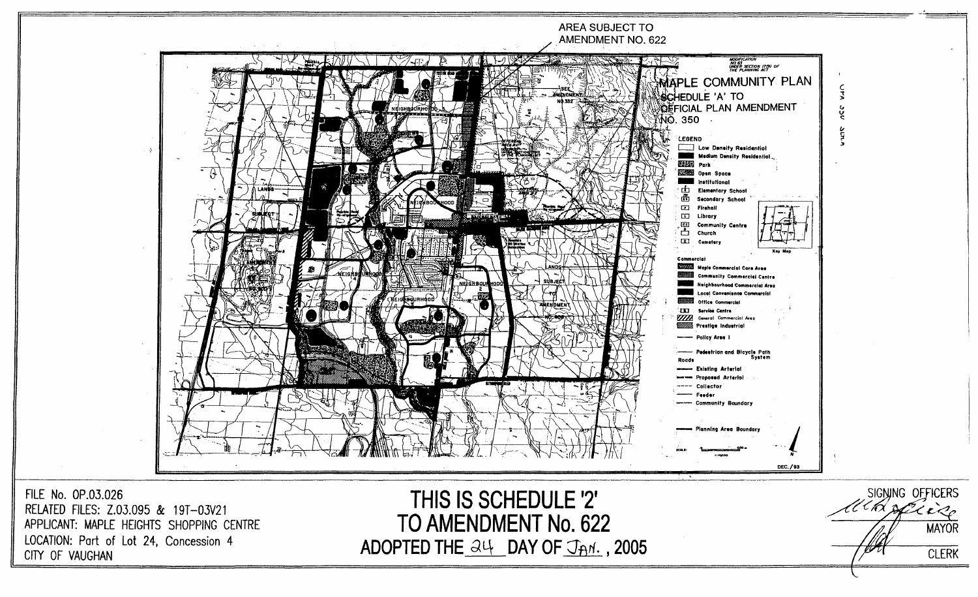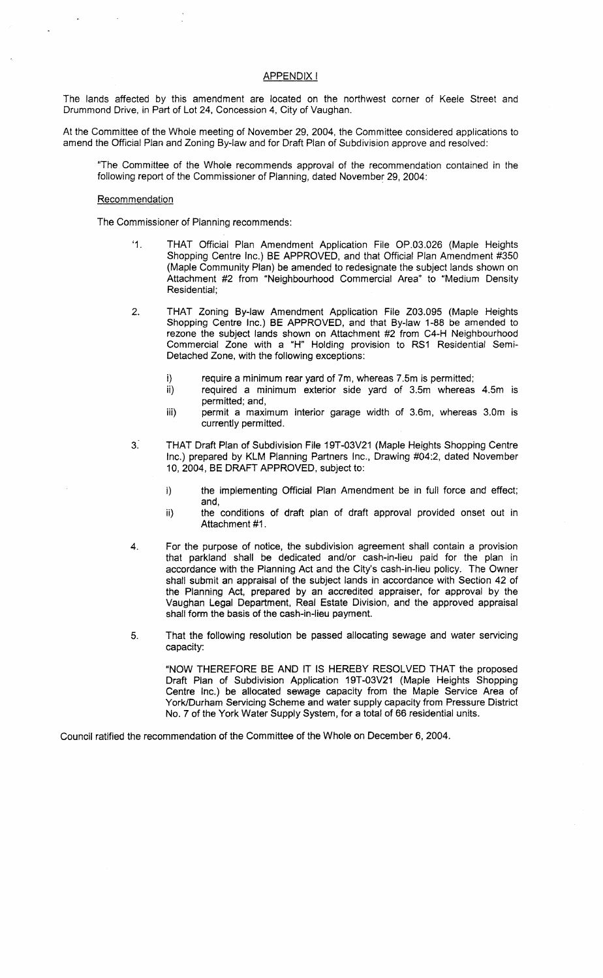# APPENDIX I

The lands affected by this amendment are located on the northwest corner of Keele Street and Drummond Drive, in Part of Lot 24, Concession 4, City of Vaughan.

At the Committee of the Whole meeting of November 29, 2004, the Committee considered applications to amend the Official Plan and Zoning By-law and for Draft Plan of Subdivision approve and resolved:

'The Committee of the Whole recommends approval of the recommendation contained in the following report of the Commissioner of Planning, dated November 29, 2004:

### **Recommendation**

The Commissioner of Planning recommends:

- '1. THAT Official Plan Amendment Application File OP.03.026 (Maple Heights Shopping Centre Inc.) BE APPROVED, and that Official Plan Amendment #350 (Maple Community Plan) be amended to redesignate the subject lands shown on Attachment #2 from "Neighbourhood Commercial Area" to "Medium Density Residential;
- 2. THAT Zoning By-law Amendment Application File Z03.095 (Maple Heights Shopping Centre Inc.) BE APPROVED, and that By-law 1-88 be amended to rezone the subject lands shown on Attachment #2 from C4-H Neighbourhood Commercial Zone with a "H" Holding provision to RS1 Residential Semi-Detached Zone, with the following exceptions:
	- i) require a minimum rear yard of 7m, whereas 7.5m is permitted;
	- ii) required a minimum exterior side yard of 3.5m whereas 4.5m is permitted; and,
	- iii) permit a maximum interior garage width of 3.6m, whereas 3.0m is currently permitted.
- 3." THAT Draft Plan of Subdivision File 19T-03V21 (Maple Heights Shopping Centre Inc.) prepared by KLM Planning Partners Inc., Drawing #04:2, dated November 10,2004, BE DRAFT APPROVED, subject to:
	- i) the implementing Official Plan Amendment be in full force and effect; and,
	- ii) the conditions of draft plan of draft approval provided onset out in Attachment #1.
- 4. For the purpose of notice, the subdivision agreement shall contain a provision that parkland shall be dedicated and/or cash-in-lieu paid for the plan in accordance with the Planning Act and the City's cash-in-lieu policy. The Owner shall submit an appraisal of the subject lands in accordance with Section 42 of the Planning Act, prepared by an accredited appraiser, for approval by the Vaughan Legal Department, Real Estate Division, and the approved appraisal shall form the basis of the cash-in-lieu payment.
- 5. That the following resolution be passed allocating sewage and water servicing capacity:

"NOW THEREFORE BE AND IT IS HEREBY RESOLVED THAT the proposed Draft Plan of Subdivision Application 19T-03V21 (Maple Heights Shopping Centre Inc.) be allocated sewage capacity from the Maple Service Area of York/Durham Servicing Scheme and water supply capacity from Pressure District NO.7 of the York Water Supply System, for a total of 66 residential units.

Council ratified the recommendation of the Committee of the Whole on December 6, 2004.